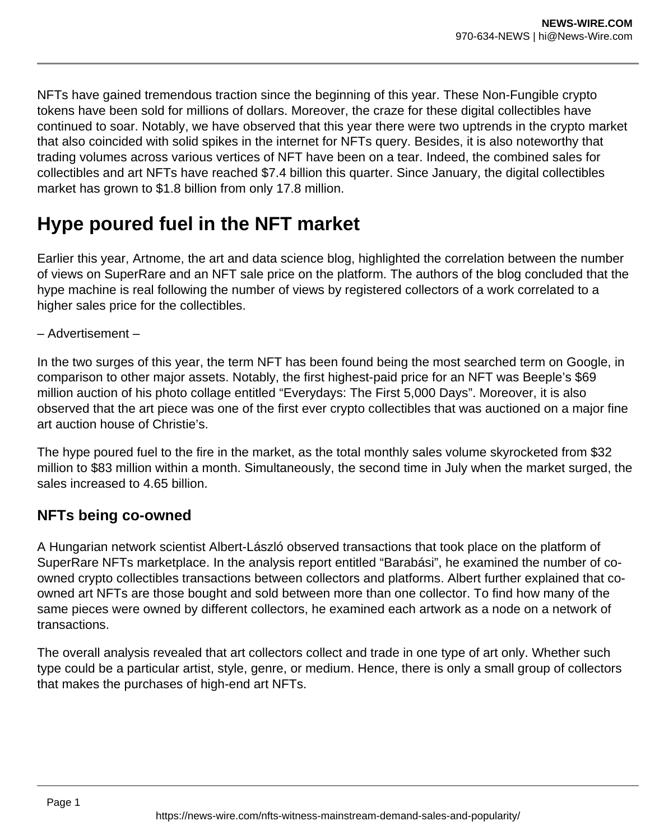NFTs have gained tremendous traction since the beginning of this year. These Non-Fungible crypto tokens have been sold for millions of dollars. Moreover, the craze for these digital collectibles have continued to soar. Notably, we have observed that this year there were two uptrends in the crypto market that also coincided with solid spikes in the internet for NFTs query. Besides, it is also noteworthy that trading volumes across various vertices of NFT have been on a tear. Indeed, the combined sales for collectibles and art NFTs have reached \$7.4 billion this quarter. Since January, the digital collectibles market has grown to \$1.8 billion from only 17.8 million.

## **Hype poured fuel in the NFT market**

Earlier this year, Artnome, the art and data science blog, highlighted the correlation between the number of views on SuperRare and an NFT sale price on the platform. The authors of the blog concluded that the hype machine is real following the number of views by registered collectors of a work correlated to a higher sales price for the collectibles.

– Advertisement –

In the two surges of this year, the term NFT has been found being the most searched term on Google, in comparison to other major assets. Notably, the first highest-paid price for an NFT was Beeple's \$69 million auction of his photo collage entitled "Everydays: The First 5,000 Days". Moreover, it is also observed that the art piece was one of the first ever crypto collectibles that was auctioned on a major fine art auction house of Christie's.

The hype poured fuel to the fire in the market, as the total monthly sales volume skyrocketed from \$32 million to \$83 million within a month. Simultaneously, the second time in July when the market surged, the sales increased to 4.65 billion.

## **NFTs being co-owned**

A Hungarian network scientist Albert-László observed transactions that took place on the platform of SuperRare NFTs marketplace. In the analysis report entitled "Barabási", he examined the number of coowned crypto collectibles transactions between collectors and platforms. Albert further explained that coowned art NFTs are those bought and sold between more than one collector. To find how many of the same pieces were owned by different collectors, he examined each artwork as a node on a network of transactions.

The overall analysis revealed that art collectors collect and trade in one type of art only. Whether such type could be a particular artist, style, genre, or medium. Hence, there is only a small group of collectors that makes the purchases of high-end art NFTs.